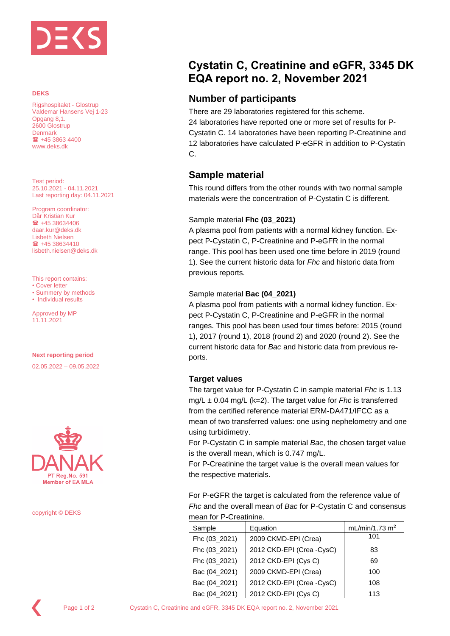

#### **DEKS**

Rigshospitalet - Glostrup Valdemar Hansens Vej 1-23 Opgang 8,1. 2600 Glostrup **Denmark**  $\bullet$  +45 3863 4400 www.deks.dk

Test period: 25.10.2021 - 04.11.2021 Last reporting day: 04.11.2021

Program coordinator: Dår Kristian Kur  $\textbf{a}$  +45 38634406 daar.kur@deks.dk Lisbeth Nielsen ■ +45 38634410 lisbeth.nielsen@deks.dk

This report contains: • Cover letter • Summery by methods • Individual results

Approved by MP 11.11.2021

**Next reporting period**

02.05.2022 – 09.05.2022



copyright © DEKS

# **Cystatin C, Creatinine and eGFR, 3345 DK EQA report no. 2, November 2021**

## **Number of participants**

There are 29 laboratories registered for this scheme. 24 laboratories have reported one or more set of results for P-Cystatin C. 14 laboratories have been reporting P-Creatinine and 12 laboratories have calculated P-eGFR in addition to P-Cystatin C.

### **Sample material**

This round differs from the other rounds with two normal sample materials were the concentration of P-Cystatin C is different.

#### Sample material **Fhc (03\_2021)**

A plasma pool from patients with a normal kidney function. Expect P-Cystatin C, P-Creatinine and P-eGFR in the normal range. This pool has been used one time before in 2019 (round 1). See the current historic data for *Fhc* and historic data from previous reports.

#### Sample material **Bac (04\_2021)**

A plasma pool from patients with a normal kidney function. Expect P-Cystatin C, P-Creatinine and P-eGFR in the normal ranges. This pool has been used four times before: 2015 (round 1), 2017 (round 1), 2018 (round 2) and 2020 (round 2). See the current historic data for *Bac* and historic data from previous reports.

### **Target values**

The target value for P-Cystatin C in sample material *Fhc* is 1.13 mg/L ± 0.04 mg/L (k=2). The target value for *Fhc* is transferred from the certified reference material ERM-DA471/IFCC as a mean of two transferred values: one using nephelometry and one using turbidimetry.

For P-Cystatin C in sample material *Bac*, the chosen target value is the overall mean, which is 0.747 mg/L.

For P-Creatinine the target value is the overall mean values for the respective materials.

For P-eGFR the target is calculated from the reference value of *Fhc* and the overall mean of *Bac* for P-Cystatin C and consensus mean for P-Creatinine.

| Sample        | Equation                  | mL/min/1.73 $m2$ |
|---------------|---------------------------|------------------|
| Fhc (03_2021) | 2009 CKMD-EPI (Crea)      | 101              |
| Fhc (03_2021) | 2012 CKD-EPI (Crea -CysC) | 83               |
| Fhc (03_2021) | 2012 CKD-EPI (Cys C)      | 69               |
| Bac (04_2021) | 2009 CKMD-EPI (Crea)      | 100              |
| Bac (04_2021) | 2012 CKD-EPI (Crea -CysC) | 108              |
| Bac (04 2021) | 2012 CKD-EPI (Cys C)      | 113              |



Page 1 of 2 Cystatin C, Creatinine and eGFR, 3345 DK EQA report no. 2, November 2021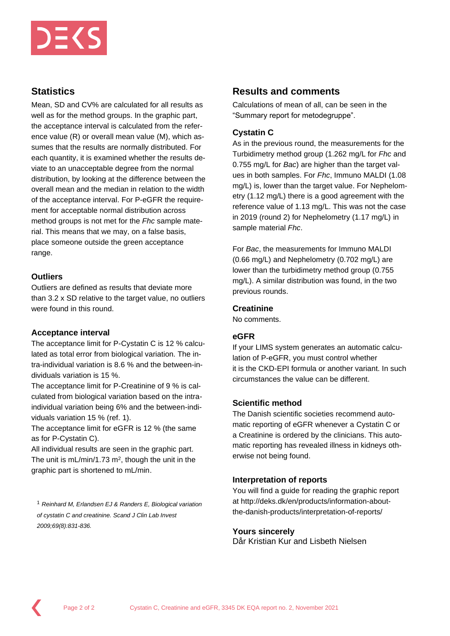

# **Statistics**

Mean, SD and CV% are calculated for all results as well as for the method groups. In the graphic part, the acceptance interval is calculated from the reference value (R) or overall mean value (M), which assumes that the results are normally distributed. For each quantity, it is examined whether the results deviate to an unacceptable degree from the normal distribution, by looking at the difference between the overall mean and the median in relation to the width of the acceptance interval. For P-eGFR the requirement for acceptable normal distribution across method groups is not met for the *Fhc* sample material. This means that we may, on a false basis, place someone outside the green acceptance range.

### **Outliers**

Outliers are defined as results that deviate more than 3.2 x SD relative to the target value, no outliers were found in this round.

### **Acceptance interval**

The acceptance limit for P-Cystatin C is 12 % calculated as total error from biological variation. The intra-individual variation is 8.6 % and the between-individuals variation is 15 %.

The acceptance limit for P-Creatinine of 9 % is calculated from biological variation based on the intraindividual variation being 6% and the between-individuals variation 15 % (ref. 1).

The acceptance limit for eGFR is 12 % (the same as for P-Cystatin C).

All individual results are seen in the graphic part. The unit is  $mL/min/1.73 m<sup>2</sup>$ , though the unit in the graphic part is shortened to mL/min.

<sup>1</sup> *Reinhard M, Erlandsen EJ & Randers E, Biological variation of cystatin C and creatinine. Scand J Clin Lab Invest 2009;69(8):831-836.*

# **Results and comments**

Calculations of mean of all, can be seen in the "Summary report for metodegruppe".

### **Cystatin C**

As in the previous round, the measurements for the Turbidimetry method group (1.262 mg/L for *Fhc* and 0.755 mg/L for *Bac*) are higher than the target values in both samples. For *Fhc*, Immuno MALDI (1.08 mg/L) is, lower than the target value. For Nephelometry (1.12 mg/L) there is a good agreement with the reference value of 1.13 mg/L. This was not the case in 2019 (round 2) for Nephelometry (1.17 mg/L) in sample material *Fhc*.

For *Bac*, the measurements for Immuno MALDI (0.66 mg/L) and Nephelometry (0.702 mg/L) are lower than the turbidimetry method group (0.755 mg/L). A similar distribution was found, in the two previous rounds.

### **Creatinine**

No comments.

### **eGFR**

If your LIMS system generates an automatic calculation of P-eGFR, you must control whether it is the CKD-EPI formula or another variant. In such circumstances the value can be different.

### **Scientific method**

The Danish scientific societies recommend automatic reporting of eGFR whenever a Cystatin C or a Creatinine is ordered by the clinicians. This automatic reporting has revealed illness in kidneys otherwise not being found.

### **Interpretation of reports**

You will find a guide for reading the graphic report at [http://deks.dk/en/products/information-about](http://deks.dk/en/products/information-about-the-danish-products/interpretation-of-reports/)[the-danish-products/interpretation-of-reports/](http://deks.dk/en/products/information-about-the-danish-products/interpretation-of-reports/)

### **Yours sincerely**

Dår Kristian Kur and Lisbeth Nielsen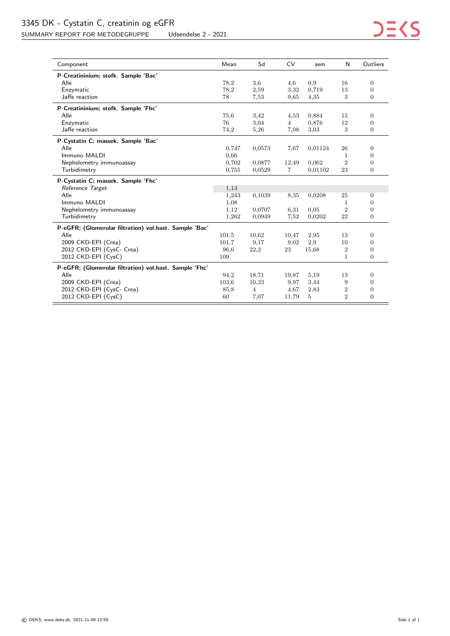<span id="page-2-0"></span>

| Component                                              | Mean  | Sd     | CV             | sem     | N              | Outliers       |
|--------------------------------------------------------|-------|--------|----------------|---------|----------------|----------------|
| P-Creatininium; stofk. Sample 'Bac'                    |       |        |                |         |                |                |
| Alle                                                   | 78,2  | 3,6    | 4,6            | 0,9     | 16             | $\overline{0}$ |
| Enzymatic                                              | 78,2  | 2,59   | 3,32           | 0,719   | 13             | $\Omega$       |
| Jaffe reaction                                         | 78    | 7,53   | 9.65           | 4,35    | 3              | $\overline{0}$ |
| P-Creatininium; stofk. Sample 'Fhc'                    |       |        |                |         |                |                |
| Alle                                                   | 75,6  | 3,42   | 4,53           | 0,884   | 15             | $\overline{0}$ |
| Enzymatic                                              | 76    | 3,04   | $\overline{4}$ | 0,876   | 12             | $\overline{0}$ |
| Jaffe reaction                                         | 74,2  | 5,26   | 7.08           | 3.03    | 3              | $\overline{0}$ |
| P-Cystatin C; massek. Sample 'Bac'                     |       |        |                |         |                |                |
| Alle                                                   | 0,747 | 0,0573 | 7,67           | 0.01124 | 26             | 0              |
| Immuno MALDI                                           | 0.66  |        |                |         | 1              | $\overline{0}$ |
| Nephelometry immunoassay                               | 0,702 | 0,0877 | 12,49          | 0,062   | $\overline{2}$ | $\Omega$       |
| Turbidimetry                                           | 0.755 | 0,0529 | 7              | 0,01102 | 23             | $\Omega$       |
| P-Cystatin C; massek. Sample 'Fhc'                     |       |        |                |         |                |                |
| Reference Target                                       | 1,13  |        |                |         |                |                |
| Alle                                                   | 1,243 | 0,1039 | 8,35           | 0.0208  | 25             | $\overline{0}$ |
| Immuno MALDI                                           | 1,08  |        |                |         | 1              | $\Omega$       |
| Nephelometry immunoassay                               | 1,12  | 0,0707 | 6,31           | 0.05    | $\overline{2}$ | $\Omega$       |
| Turbidimetry                                           | 1,262 | 0,0949 | 7,52           | 0,0202  | 22             | $\overline{0}$ |
| P-eGFR; (Glomerular filtration) vol.hast. Sample 'Bac' |       |        |                |         |                |                |
| Alle                                                   | 101,5 | 10,62  | 10,47          | 2,95    | 13             | $\overline{0}$ |
| 2009 CKD-EPI (Crea)                                    | 101,7 | 9,17   | 9,02           | 2,9     | 10             | 0              |
| 2012 CKD-EPI (CysC- Crea)                              | 96,6  | 22,2   | 23             | 15,68   | $\overline{2}$ | $\overline{0}$ |
| 2012 CKD-EPI (CysC)                                    | 109   |        |                |         | $\mathbf{1}$   | $\Omega$       |
| P-eGFR; (Glomerular filtration) vol.hast. Sample 'Fhc' |       |        |                |         |                |                |
| Alle                                                   | 94,2  | 18,71  | 19,87          | 5,19    | 13             | $\overline{0}$ |
| 2009 CKD-EPI (Crea)                                    | 103.6 | 10,33  | 9.97           | 3.44    | 9              | 0              |
| 2012 CKD-EPI (CysC- Crea)                              | 85,8  | 4      | 4,67           | 2,83    | $\overline{2}$ | $\theta$       |
| 2012 CKD-EPI (CysC)                                    | 60    | 7,07   | 11,79          | 5       | $\overline{2}$ | $\Omega$       |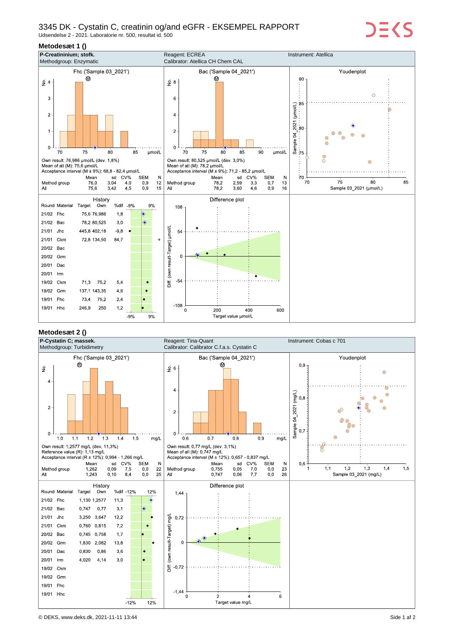# 3345 DK - Cystatin C, creatinin og/and eGFR - EKSEMPEL RAPPORT

Udsendelse 2 - 2021. Laboratorie nr. 500, resultat id. 500

#### **Metodesæt 1 ()**



#### **Metodesæt 2 ()**



 $E(S)$